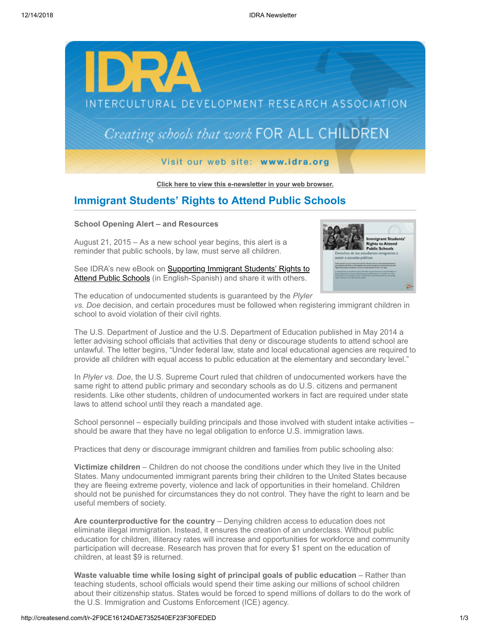

**[Click here to view this e-newsletter in your web browser.](http://newsletter.impulsedevelopment.com/t/r-e-ftrjujk-l-r/)**

# **Immigrant Students' Rights to Attend Public Schools**

### **School Opening Alert – and Resources**

August 21, 2015 – As a new school year begins, this alert is a reminder that public schools, by law, must serve all children.



See IDRA's new eBook on **Supporting Immigrant Students' Rights to** Attend Public Schools (in English-Spanish) and share it with others.

The education of undocumented students is guaranteed by the *Plyler vs. Doe* decision, and certain procedures must be followed when registering immigrant children in school to avoid violation of their civil rights.

The U.S. Department of Justice and the U.S. Department of Education published in May 2014 a letter advising school officials that activities that deny or discourage students to attend school are unlawful. The letter begins, "Under federal law, state and local educational agencies are required to provide all children with equal access to public education at the elementary and secondary level."

In *Plyler vs. Doe*, the U.S. Supreme Court ruled that children of undocumented workers have the same right to attend public primary and secondary schools as do U.S. citizens and permanent residents. Like other students, children of undocumented workers in fact are required under state laws to attend school until they reach a mandated age.

School personnel – especially building principals and those involved with student intake activities – should be aware that they have no legal obligation to enforce U.S. immigration laws.

Practices that deny or discourage immigrant children and families from public schooling also:

**Victimize children** – Children do not choose the conditions under which they live in the United States. Many undocumented immigrant parents bring their children to the United States because they are fleeing extreme poverty, violence and lack of opportunities in their homeland. Children should not be punished for circumstances they do not control. They have the right to learn and be useful members of society.

Are counterproductive for the country – Denying children access to education does not eliminate illegal immigration. Instead, it ensures the creation of an underclass. Without public education for children, illiteracy rates will increase and opportunities for workforce and community participation will decrease. Research has proven that for every \$1 spent on the education of children, at least \$9 is returned.

**Waste valuable time while losing sight of principal goals of public education** – Rather than teaching students, school officials would spend their time asking our millions of school children about their citizenship status. States would be forced to spend millions of dollars to do the work of the U.S. Immigration and Customs Enforcement (ICE) agency.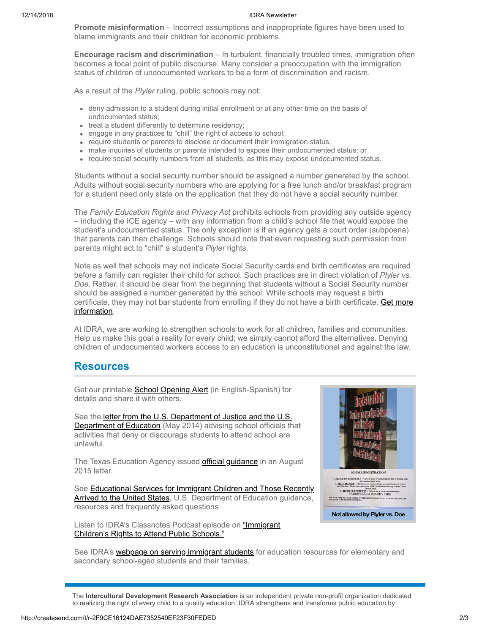#### 12/14/2018 IDRA Newsletter

**Promote misinformation** – Incorrect assumptions and inappropriate figures have been used to blame immigrants and their children for economic problems.

**Encourage racism and discrimination** – In turbulent, financially troubled times, immigration often becomes a focal point of public discourse. Many consider a preoccupation with the immigration status of children of undocumented workers to be a form of discrimination and racism.

As a result of the *Plyler* ruling, public schools may not:

- deny admission to a student during initial enrollment or at any other time on the basis of undocumented status;
- treat a student differently to determine residency;
- engage in any practices to "chill" the right of access to school;
- require students or parents to disclose or document their immigration status;
- make inquiries of students or parents intended to expose their undocumented status; or
- require social security numbers from all students, as this may expose undocumented status.

Students without a social security number should be assigned a number generated by the school. Adults without social security numbers who are applying for a free lunch and/or breakfast program for a student need only state on the application that they do not have a social security number.

The *Family Education Rights and Privacy Act* prohibits schools from providing any outside agency – including the ICE agency – with any information from a child's school file that would expose the student's undocumented status. The only exception is if an agency gets a court order (subpoena) that parents can then challenge. Schools should note that even requesting such permission from parents might act to "chill" a student's *Plyler* rights.

Note as well that schools may not indicate Social Security cards and birth certificates are required before a family can register their child for school. Such practices are in direct violation of *Plyler vs. Doe*. Rather, it should be clear from the beginning that students without a Social Security number should be assigned a number generated by the school. While schools may request a birth [certificate, they may not bar students from enrolling if they do not have a birth certificate. Get more](http://idra.createsend1.com/t/r-l-ftrjujk-l-d/) information.

At IDRA, we are working to strengthen schools to work for all children, families and communities. Help us make this goal a reality for every child; we simply cannot afford the alternatives. Denying children of undocumented workers access to an education is unconstitutional and against the law.

## **Resources**

Get our printable **School Opening Alert** (in English-Spanish) for details and share it with others.

[See the letter from the U.S. Department of Justice and the U.S.](http://idra.createsend1.com/t/r-l-ftrjujk-l-b/) **Department of Education** (May 2014) advising school officials that activities that deny or discourage students to attend school are unlawful.

The Texas Education Agency issued **official guidance** in an August 2015 letter.

[See Educational Services for Immigrant Children and Those Recently](http://idra.createsend1.com/t/r-l-ftrjujk-l-p/) Arrived to the United States, U.S. Department of Education guidance, resources and frequently asked questions

[Listen to IDRA's Classnotes Podcast episode on "Immigrant](http://idra.createsend1.com/t/r-l-ftrjujk-l-x/) Children's Rights to Attend Public Schools."



See IDRA's **[webpage on serving immigrant students](http://idra.createsend1.com/t/r-l-ftrjujk-l-m/)** for education resources for elementary and secondary school-aged students and their families.

The **Intercultural Development Research Association** is an independent private non-profit organization dedicated to realizing the right of every child to a quality education. IDRA strengthens and transforms public education by